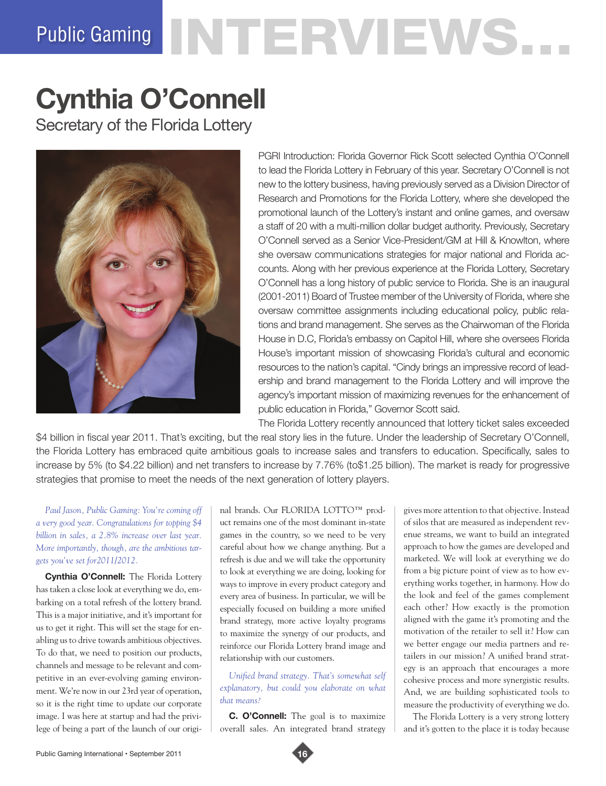# Public Gaming NTERVIEWS.

# **Cynthia O'Connell**

Secretary of the Florida Lottery



PGRI Introduction: Florida Governor Rick Scott selected Cynthia O'Connell to lead the Florida Lottery in February of this year. Secretary O'Connell is not new to the lottery business, having previously served as a Division Director of Research and Promotions for the Florida Lottery, where she developed the promotional launch of the Lottery's instant and online games, and oversaw a staff of 20 with a multi-million dollar budget authority. Previously, Secretary O'Connell served as a Senior Vice-President/GM at Hill & Knowlton, where she oversaw communications strategies for major national and Florida accounts. Along with her previous experience at the Florida Lottery, Secretary O'Connell has a long history of public service to Florida. She is an inaugural (2001-2011) Board of Trustee member of the University of Florida, where she oversaw committee assignments including educational policy, public relations and brand management. She serves as the Chairwoman of the Florida House in D.C, Florida's embassy on Capitol Hill, where she oversees Florida House's important mission of showcasing Florida's cultural and economic resources to the nation's capital. "Cindy brings an impressive record of leadership and brand management to the Florida Lottery and will improve the agency's important mission of maximizing revenues for the enhancement of public education in Florida," Governor Scott said.

The Florida Lottery recently announced that lottery ticket sales exceeded \$4 billion in fiscal year 2011. That's exciting, but the real story lies in the future. Under the leadership of Secretary O'Connell, the Florida Lottery has embraced quite ambitious goals to increase sales and transfers to education. Specifically, sales to increase by 5% (to \$4.22 billion) and net transfers to increase by 7.76% (to\$1.25 billion). The market is ready for progressive strategies that promise to meet the needs of the next generation of lottery players.

*Paul Jason, Public Gaming: You're coming off a very good year. Congratulations for topping \$4 billion in sales, a 2.8% increase over last year. More importantly, though, are the ambitious targets you've set for2011/2012.*

**Cynthia O'Connell:** The Florida Lottery has taken a close look at everything we do, embarking on a total refresh of the lottery brand. This is a major initiative, and it's important for us to get it right. This will set the stage for enabling us to drive towards ambitious objectives. To do that, we need to position our products, channels and message to be relevant and competitive in an ever-evolving gaming environment. We're now in our 23rd year of operation, so it is the right time to update our corporate image. I was here at startup and had the privilege of being a part of the launch of our original brands. Our FLORIDA LOTTO™ product remains one of the most dominant in-state games in the country, so we need to be very careful about how we change anything. But a refresh is due and we will take the opportunity to look at everything we are doing, looking for ways to improve in every product category and every area of business. In particular, we will be especially focused on building a more unified brand strategy, more active loyalty programs to maximize the synergy of our products, and reinforce our Florida Lottery brand image and relationship with our customers.

*Unified brand strategy. That's somewhat self explanatory, but could you elaborate on what that means?*

**C. O'Connell:** The goal is to maximize overall sales. An integrated brand strategy

gives more attention to that objective. Instead of silos that are measured as independent revenue streams, we want to build an integrated approach to how the games are developed and marketed. We will look at everything we do from a big picture point of view as to how everything works together, in harmony. How do the look and feel of the games complement each other? How exactly is the promotion aligned with the game it's promoting and the motivation of the retailer to sell it? How can we better engage our media partners and retailers in our mission? A unified brand strategy is an approach that encourages a more cohesive process and more synergistic results. And, we are building sophisticated tools to measure the productivity of everything we do.

The Florida Lottery is a very strong lottery and it's gotten to the place it is today because

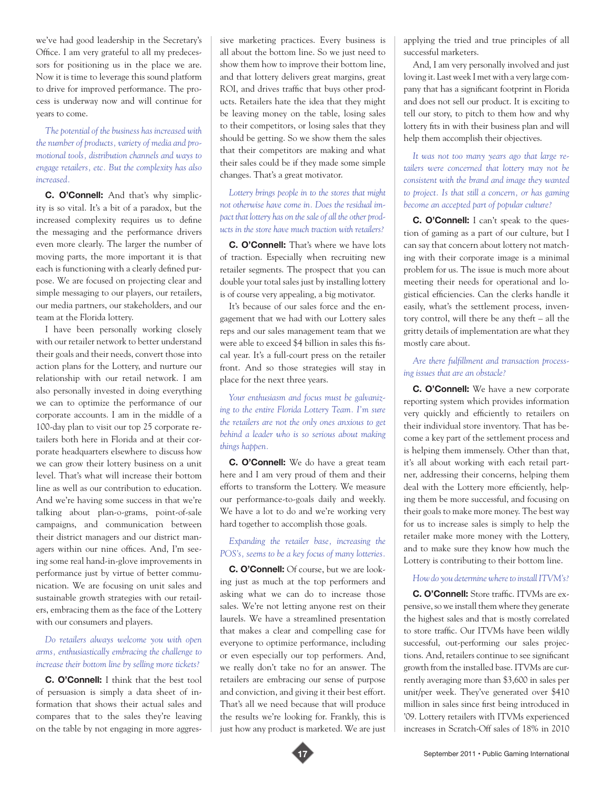we've had good leadership in the Secretary's Office. I am very grateful to all my predecessors for positioning us in the place we are. Now it is time to leverage this sound platform to drive for improved performance. The process is underway now and will continue for years to come.

## *The potential of the business has increased with the number of products, variety of media and promotional tools, distribution channels and ways to engage retailers, etc. But the complexity has also increased.*

**C. O'Connell:** And that's why simplicity is so vital. It's a bit of a paradox, but the increased complexity requires us to define the messaging and the performance drivers even more clearly. The larger the number of moving parts, the more important it is that each is functioning with a clearly defined purpose. We are focused on projecting clear and simple messaging to our players, our retailers, our media partners, our stakeholders, and our team at the Florida lottery.

I have been personally working closely with our retailer network to better understand their goals and their needs, convert those into action plans for the Lottery, and nurture our relationship with our retail network. I am also personally invested in doing everything we can to optimize the performance of our corporate accounts. I am in the middle of a 100-day plan to visit our top 25 corporate retailers both here in Florida and at their corporate headquarters elsewhere to discuss how we can grow their lottery business on a unit level. That's what will increase their bottom line as well as our contribution to education. And we're having some success in that we're talking about plan-o-grams, point-of-sale campaigns, and communication between their district managers and our district managers within our nine offices. And, I'm seeing some real hand-in-glove improvements in performance just by virtue of better communication. We are focusing on unit sales and sustainable growth strategies with our retailers, embracing them as the face of the Lottery with our consumers and players.

### *Do retailers always welcome you with open arms, enthusiastically embracing the challenge to increase their bottom line by selling more tickets?*

**C. O'Connell:** I think that the best tool of persuasion is simply a data sheet of information that shows their actual sales and compares that to the sales they're leaving on the table by not engaging in more aggressive marketing practices. Every business is all about the bottom line. So we just need to show them how to improve their bottom line, and that lottery delivers great margins, great ROI, and drives traffic that buys other products. Retailers hate the idea that they might be leaving money on the table, losing sales to their competitors, or losing sales that they should be getting. So we show them the sales that their competitors are making and what their sales could be if they made some simple changes. That's a great motivator.

*Lottery brings people in to the stores that might not otherwise have come in. Does the residual impact that lottery has on the sale of all the other products in the store have much traction with retailers?*

**C. O'Connell:** That's where we have lots of traction. Especially when recruiting new retailer segments. The prospect that you can double your total sales just by installing lottery is of course very appealing, a big motivator.

It's because of our sales force and the engagement that we had with our Lottery sales reps and our sales management team that we were able to exceed \$4 billion in sales this fiscal year. It's a full-court press on the retailer front. And so those strategies will stay in place for the next three years.

*Your enthusiasm and focus must be galvanizing to the entire Florida Lottery Team. I'm sure the retailers are not the only ones anxious to get behind a leader who is so serious about making things happen.*

**C. O'Connell:** We do have a great team here and I am very proud of them and their efforts to transform the Lottery. We measure our performance-to-goals daily and weekly. We have a lot to do and we're working very hard together to accomplish those goals.

#### *Expanding the retailer base, increasing the POS's, seems to be a key focus of many lotteries.*

**C. O'Connell:** Of course, but we are looking just as much at the top performers and asking what we can do to increase those sales. We're not letting anyone rest on their laurels. We have a streamlined presentation that makes a clear and compelling case for everyone to optimize performance, including or even especially our top performers. And, we really don't take no for an answer. The retailers are embracing our sense of purpose and conviction, and giving it their best effort. That's all we need because that will produce the results we're looking for. Frankly, this is just how any product is marketed. We are just



And, I am very personally involved and just loving it. Last week I met with a very large company that has a significant footprint in Florida and does not sell our product. It is exciting to tell our story, to pitch to them how and why lottery fits in with their business plan and will help them accomplish their objectives.

*It was not too many years ago that large retailers were concerned that lottery may not be consistent with the brand and image they wanted to project. Is that still a concern, or has gaming become an accepted part of popular culture?*

**C. O'Connell:** I can't speak to the question of gaming as a part of our culture, but I can say that concern about lottery not matching with their corporate image is a minimal problem for us. The issue is much more about meeting their needs for operational and logistical efficiencies. Can the clerks handle it easily, what's the settlement process, inventory control, will there be any theft – all the gritty details of implementation are what they mostly care about.

#### *Are there fulfillment and transaction processing issues that are an obstacle?*

**C. O'Connell:** We have a new corporate reporting system which provides information very quickly and efficiently to retailers on their individual store inventory. That has become a key part of the settlement process and is helping them immensely. Other than that, it's all about working with each retail partner, addressing their concerns, helping them deal with the Lottery more efficiently, helping them be more successful, and focusing on their goals to make more money. The best way for us to increase sales is simply to help the retailer make more money with the Lottery, and to make sure they know how much the Lottery is contributing to their bottom line.

#### *How do you determine where to install ITVM's?*

**C. O'Connell:** Store traffic. ITVMs are expensive, so we install them where they generate the highest sales and that is mostly correlated to store traffic. Our ITVMs have been wildly successful, out-performing our sales projections. And, retailers continue to see significant growth from the installed base. ITVMs are currently averaging more than \$3,600 in sales per unit/per week. They've generated over \$410 million in sales since first being introduced in '09. Lottery retailers with ITVMs experienced increases in Scratch-Off sales of 18% in 2010